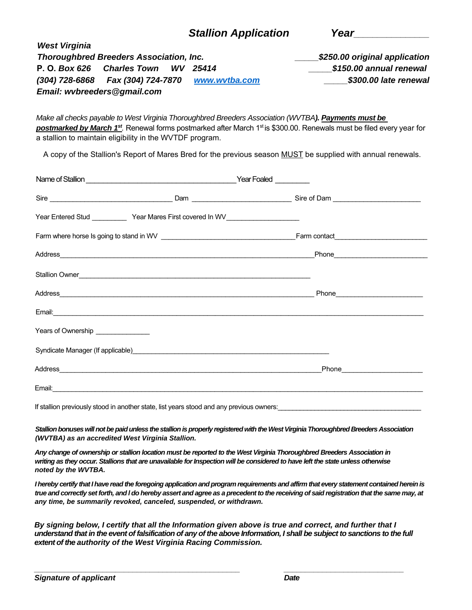| <b>Stallion Application</b> | Year |
|-----------------------------|------|
|-----------------------------|------|

|                      | <b>Thoroughbred Breeders Association, Inc.</b>    | \$250.00 original application |
|----------------------|---------------------------------------------------|-------------------------------|
| P. O. <i>Box 626</i> | Charles Town WV 25414                             | \$150.00 annual renewal       |
|                      | (304) 728-6868  Fax (304) 724-7870  www.wvtba.com | \$300.00 late renewal         |
|                      | Email: wvbreeders@gmail.com                       |                               |

*Make all checks payable to West Virginia Thoroughbred Breeders Association (WVTBA). Payments must be*  **postmarked by March 1<sup>st</sup>**. Renewal forms postmarked after March 1<sup>st</sup> is \$300.00. Renewals must be filed every year for a stallion to maintain eligibility in the WVTDF program.

A copy of the Stallion's Report of Mares Bred for the previous season MUST be supplied with annual renewals.

| Year Entered Stud _____________Year Mares First covered In WV___________________                                            |
|-----------------------------------------------------------------------------------------------------------------------------|
|                                                                                                                             |
|                                                                                                                             |
| Stallion Owner <u>Contract Communication</u> Contract Communication Communication Communication Communication Communication |
| Phone 2008 2009 2010 2021 2022 2023 2024 2022 2023 2024 2022 2023 2024 2022 2023 2024 2025 2026 2027 2028 2021              |
|                                                                                                                             |
|                                                                                                                             |
| Syndicate Manager (If applicable) Manager and the syndicate Manager (If applicable)                                         |
| Phone <b>Contract Contract Phone</b>                                                                                        |
|                                                                                                                             |
|                                                                                                                             |

If stallion previously stood in another state, list years stood and any previous owners:

*Stallion bonuses will not be paid unless the stallion is properly registered with the West Virginia Thoroughbred Breeders Association (WVTBA) as an accredited West Virginia Stallion.*

*Any change of ownership or stallion location must be reported to the West Virginia Thoroughbred Breeders Association in writing as they occur. Stallions that are unavailable for Inspection will be considered to have left the state unless otherwise noted by the WVTBA.*

*I hereby certify that I have read the foregoing application and program requirements and affirm that every statement contained herein is true and correctly set forth, and l do hereby assert and agree as a precedent to the receiving of said registration that the same may, at any time, be summarily revoked, canceled, suspended, or withdrawn.* 

*By signing below, I certify that all the Information given above is true and correct, and further that I understand that in the event of falsification of any of the above Information, I shall be subject to sanctions to the full extent of the authority of the West Virginia Racing Commission.* 

*\_\_\_\_\_\_\_\_\_\_\_\_\_\_\_\_\_\_\_\_\_\_\_\_\_\_\_\_\_\_\_\_\_\_\_\_\_\_\_\_\_\_\_\_\_\_\_\_ \_\_\_\_\_\_\_\_\_\_\_\_\_\_\_\_\_\_\_\_\_\_\_\_\_\_\_\_* 

*West Virginia*